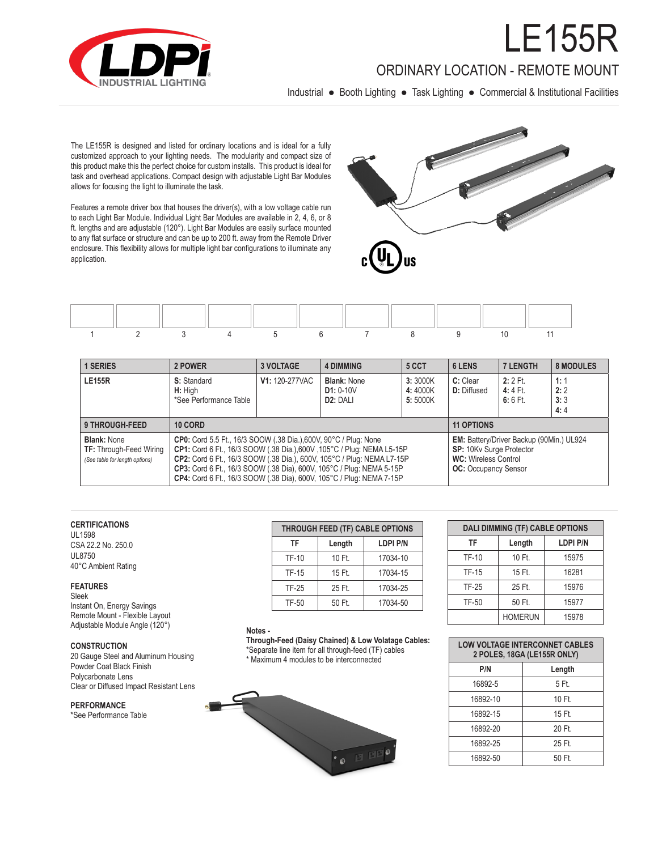

## ORDINARY LOCATION - REMOTE MOUNT

F155R

Industrial ● Booth Lighting ● Task Lighting ● Commercial & Institutional Facilities

The LE155R is designed and listed for ordinary locations and is ideal for a fully customized approach to your lighting needs. The modularity and compact size of this product make this the perfect choice for custom installs. This product is ideal for task and overhead applications. Compact design with adjustable Light Bar Modules allows for focusing the light to illuminate the task.

Features a remote driver box that houses the driver(s), with a low voltage cable run to each Light Bar Module. Individual Light Bar Modules are available in 2, 4, 6, or 8 ft. lengths and are adjustable (120°). Light Bar Modules are easily surface mounted to any flat surface or structure and can be up to 200 ft. away from the Remote Driver enclosure. This flexibility allows for multiple light bar configurations to illuminate any application.





| <b>1 SERIES</b>                                                                        | 2 POWER                                                                                                                                                                                                                                                                                                                                                                     | <b>3 VOLTAGE</b> | <b>4 DIMMING</b>                                                                                                                   | 6 LENS                        | <b>7 LENGTH</b>                | <b>8 MODULES</b>                    |                          |
|----------------------------------------------------------------------------------------|-----------------------------------------------------------------------------------------------------------------------------------------------------------------------------------------------------------------------------------------------------------------------------------------------------------------------------------------------------------------------------|------------------|------------------------------------------------------------------------------------------------------------------------------------|-------------------------------|--------------------------------|-------------------------------------|--------------------------|
| <b>LE155R</b>                                                                          | V1: 120-277VAC<br>S: Standard<br>H: High<br>*See Performance Table                                                                                                                                                                                                                                                                                                          |                  | <b>Blank: None</b><br>$D1: 0-10V$<br>D <sub>2</sub> : DALI                                                                         | 3:3000K<br>4:4000K<br>5:5000K | C: Clear<br><b>D:</b> Diffused | $2:2$ Ft.<br>$4:4$ Ft.<br>$6:6$ Ft. | 1:1<br>2:2<br>3:3<br>4:4 |
| <b>9 THROUGH-FEED</b>                                                                  | 10 CORD                                                                                                                                                                                                                                                                                                                                                                     |                  | <b>11 OPTIONS</b>                                                                                                                  |                               |                                |                                     |                          |
| <b>Blank: None</b><br><b>TF:</b> Through-Feed Wiring<br>(See table for length options) | <b>CP0:</b> Cord 5.5 Ft., 16/3 SOOW (.38 Dia.), 600V, 90°C / Plug: None<br>CP1: Cord 6 Ft., 16/3 SOOW (.38 Dia.), 600V, 105°C / Plug: NEMA L5-15P<br>CP2: Cord 6 Ft., 16/3 SOOW (.38 Dia.), 600V, 105°C / Plug: NEMA L7-15P<br>CP3: Cord 6 Ft., 16/3 SOOW (.38 Dia), 600V, 105°C / Plug: NEMA 5-15P<br>CP4: Cord 6 Ft., 16/3 SOOW (.38 Dia), 600V, 105°C / Plug: NEMA 7-15P |                  | EM: Battery/Driver Backup (90Min.) UL924<br>SP: 10Kv Surge Protector<br><b>WC:</b> Wireless Control<br><b>OC:</b> Occupancy Sensor |                               |                                |                                     |                          |

#### **CERTIFICATIONS**

UL1598 CSA 22.2 No. 250.0 UL8750 40°C Ambient Rating

#### **FEATURES**

Sleek Instant On, Energy Savings Remote Mount - Flexible Layout Adjustable Module Angle (120°)

#### **CONSTRUCTION**

20 Gauge Steel and Aluminum Housing Powder Coat Black Finish Polycarbonate Lens Clear or Diffused Impact Resistant Lens

#### **PERFORMANCE**

\*See Performance Table

| THROUGH FEED (TF) CABLE OPTIONS |        |                 |  |  |  |  |  |  |  |
|---------------------------------|--------|-----------------|--|--|--|--|--|--|--|
| TF                              | Length | <b>LDPI P/N</b> |  |  |  |  |  |  |  |
| <b>TF-10</b>                    | 10 Ft. | 17034-10        |  |  |  |  |  |  |  |
| <b>TF-15</b>                    | 15 Ft. | 17034-15        |  |  |  |  |  |  |  |
| <b>TF-25</b>                    | 25 Ft. | 17034-25        |  |  |  |  |  |  |  |
| <b>TF-50</b>                    | 50 Ft. | 17034-50        |  |  |  |  |  |  |  |

#### **Notes -**

**Through-Feed (Daisy Chained) & Low Volatage Cables:**  \*Separate line item for all through-feed (TF) cables

\* Maximum 4 modules to be interconnected



| <b>DALI DIMMING (TF) CABLE OPTIONS</b> |                |                 |  |  |  |  |  |  |
|----------------------------------------|----------------|-----------------|--|--|--|--|--|--|
| TF                                     | Length         | <b>LDPI P/N</b> |  |  |  |  |  |  |
| <b>TF-10</b>                           | 10 Ft.         | 15975           |  |  |  |  |  |  |
| <b>TF-15</b>                           | 15 Ft.         | 16281           |  |  |  |  |  |  |
| <b>TF-25</b>                           | 25 Ft.         | 15976           |  |  |  |  |  |  |
| TF-50                                  | 50 Ft.         | 15977           |  |  |  |  |  |  |
|                                        | <b>HOMERUN</b> | 15978           |  |  |  |  |  |  |

| <b>LOW VOLTAGE INTERCONNET CABLES</b><br>2 POLES, 18GA (LE155R ONLY) |        |  |  |  |  |  |  |  |
|----------------------------------------------------------------------|--------|--|--|--|--|--|--|--|
| P/N                                                                  | Length |  |  |  |  |  |  |  |
| 16892-5                                                              | 5 Ft.  |  |  |  |  |  |  |  |
| 16892-10                                                             | 10 Ft. |  |  |  |  |  |  |  |
| 16892-15                                                             | 15 Ft. |  |  |  |  |  |  |  |
| 16892-20                                                             | 20 Ft  |  |  |  |  |  |  |  |
| 16892-25                                                             | 25 Ft  |  |  |  |  |  |  |  |
| 16892-50                                                             | 50 Ft  |  |  |  |  |  |  |  |